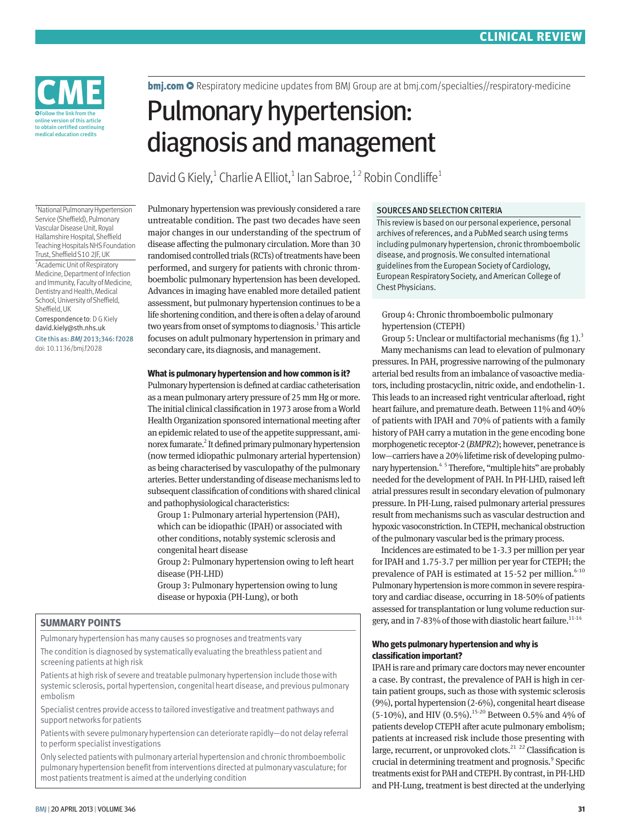

1 National Pulmonary Hypertension Service (Sheffield), Pulmonary Vascular Disease Unit, Royal Hallamshire Hospital, Sheffield Teaching Hospitals NHS Foundation Trust, Sheffield S10 2JF, UK <sup>2</sup> Academic Unit of Respiratory Medicine, Department of Infection and Immunity, Faculty of Medicine, Dentistry and Health, Medical School, University of Sheffield, Sheffield, UK

Correspondence to: D G Kiely david.kiely@sth.nhs.uk Cite this as: *BMJ* 2013;346: f2028

doi: 10.1136/bmj.f2028

**bmi.com O** Respiratory medicine updates from BMI Group are at bmi.com/specialties//respiratory-medicine

# Pulmonary hypertension: diagnosis and management

David G Kiely,<sup>1</sup> Charlie A Elliot,<sup>1</sup> Ian Sabroe,<sup>12</sup> Robin Condliffe<sup>1</sup>

Pulmonary hypertension was previously considered a rare untreatable condition. The past two decades have seen major changes in our understanding of the spectrum of disease affecting the pulmonary circulation. More than 30 randomised controlled trials (RCTs) of treatments have been performed, and surgery for patients with chronic thromboembolic pulmonary hypertension has been developed. Advances in imaging have enabled more detailed patient assessment, but pulmonary hypertension continues to be a life shortening condition, and there is often a delay of around two years from onset of symptoms to diagnosis.<sup>1</sup> This article focuses on adult pulmonary hypertension in primary and secondary care, its diagnosis, and management.

### **What is pulmonary hypertension and how common is it?**

Pulmonary hypertension is defined at cardiac catheterisation as a mean pulmonary artery pressure of 25 mm Hg or more. The initial clinical classification in 1973 arose from a World Health Organization sponsored international meeting after an epidemic related to use of the appetite suppressant, aminorex fumarate.<sup>2</sup> It defined primary pulmonary hypertension (now termed idiopathic pulmonary arterial hypertension) as being characterised by vasculopathy of the pulmonary arteries. Better understanding of disease mechanisms led to subsequent classification of conditions with shared clinical and pathophysiological characteristics:

Group 1: Pulmonary arterial hypertension (PAH), which can be idiopathic (IPAH) or associated with other conditions, notably systemic sclerosis and congenital heart disease

Group 2: Pulmonary hypertension owing to left heart disease (PH-LHD)

Group 3: Pulmonary hypertension owing to lung disease or hypoxia (PH-Lung), or both

### **SUMMARY POINTS**

Pulmonary hypertension has many causes so prognoses and treatments vary

The condition is diagnosed by systematically evaluating the breathless patient and screening patients at high risk

Patients at high risk of severe and treatable pulmonary hypertension include those with systemic sclerosis, portal hypertension, congenital heart disease, and previous pulmonary embolism

Specialist centres provide access to tailored investigative and treatment pathways and support networks for patients

Patients with severe pulmonary hypertension can deteriorate rapidly—do not delay referral to perform specialist investigations

Only selected patients with pulmonary arterial hypertension and chronic thromboembolic pulmonary hypertension benefit from interventions directed at pulmonary vasculature; for most patients treatment is aimed at the underlying condition

### SOURCES AND SELECTION CRITERIA

This review is based on our personal experience, personal archives of references, and a PubMed search using terms including pulmonary hypertension, chronic thromboembolic disease, and prognosis. We consulted international guidelines from the European Society of Cardiology, European Respiratory Society, and American College of Chest Physicians.

Group 4: Chronic thromboembolic pulmonary hypertension (CTEPH)

Group 5: Unclear or multifactorial mechanisms (fig 1).<sup>3</sup>

Many mechanisms can lead to elevation of pulmonary pressures. In PAH, progressive narrowing of the pulmonary arterial bed results from an imbalance of vasoactive mediators, including prostacyclin, nitric oxide, and endothelin-1. This leads to an increased right ventricular afterload, right heart failure, and premature death. Between 11% and 40% of patients with IPAH and 70% of patients with a family history of PAH carry a mutation in the gene encoding bone morphogenetic receptor-2 (*BMPR2*); however, penetrance is low—carriers have a 20% lifetime risk of developing pulmonary hypertension.<sup>45</sup> Therefore, "multiple hits" are probably needed for the development of PAH. In PH-LHD, raised left atrial pressures result in secondary elevation of pulmonary pressure. In PH-Lung, raised pulmonary arterial pressures result from mechanisms such as vascular destruction and hypoxic vasoconstriction. In CTEPH, mechanical obstruction of the pulmonary vascular bed is the primary process.

Incidences are estimated to be 1-3.3 per million per year for IPAH and 1.75-3.7 per million per year for CTEPH; the prevalence of PAH is estimated at 15-52 per million.<sup>6-10</sup> Pulmonary hypertension is more common in severe respiratory and cardiac disease, occurring in 18-50% of patients assessed for transplantation or lung volume reduction surgery, and in 7-83% of those with diastolic heart failure.<sup>11-14</sup>

### **Who gets pulmonary hypertension and why is classification important?**

IPAH is rare and primary care doctors may never encounter a case. By contrast, the prevalence of PAH is high in certain patient groups, such as those with systemic sclerosis (9%), portal hypertension (2-6%), congenital heart disease (5-10%), and HIV (0.5%).<sup>15-20</sup> Between 0.5% and 4% of patients develop CTEPH after acute pulmonary embolism; patients at increased risk include those presenting with large, recurrent, or unprovoked clots. $21$   $22$  Classification is crucial in determining treatment and prognosis.<sup>9</sup> Specific treatments exist for PAH and CTEPH. By contrast, in PH-LHD and PH-Lung, treatment is best directed at the underlying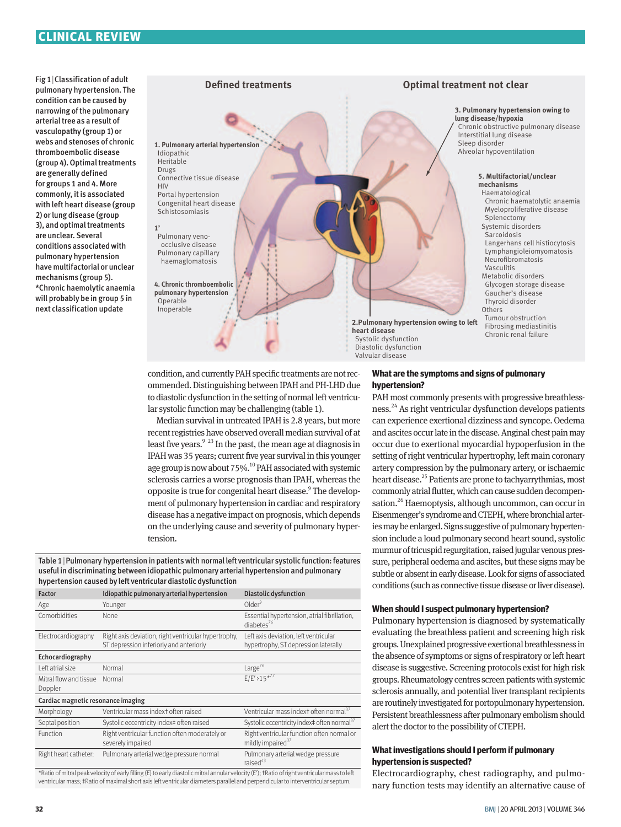## **CLINICAL REVIEW**

Fig 1|Classification of adult pulmonary hypertension. The condition can be caused by narrowing of the pulmonary arterial tree as a result of vasculopathy (group 1) or webs and stenoses of chronic thromboembolic disease (group 4). Optimal treatments are generally defined for groups 1 and 4. More commonly, it is associated with left heart disease (group 2) or lung disease (group 3), and optimal treatments are unclear. Several conditions associated with pulmonary hypertension have multifactorial or unclear mechanisms (group 5). \*Chronic haemolytic anaemia will probably be in group 5 in next classification update



ommended. Distinguishing between IPAH and PH-LHD due to diastolic dysfunction in the setting of normal left ventricular systolic function may be challenging (table 1).

Median survival in untreated IPAH is 2.8 years, but more recent registries have observed overall median survival of at least five years.<sup>9</sup> <sup>23</sup> In the past, the mean age at diagnosis in IPAH was 35 years; current five year survival in this younger age group is now about 75%.<sup>10</sup> PAH associated with systemic sclerosis carries a worse prognosis than IPAH, whereas the opposite is true for congenital heart disease.<sup>9</sup> The development of pulmonary hypertension in cardiac and respiratory disease has a negative impact on prognosis, which depends on the underlying cause and severity of pulmonary hypertension.

Table 1|Pulmonary hypertension in patients with normal left ventricular systolic function: features useful in discriminating between idiopathic pulmonary arterial hypertension and pulmonary hypertension caused by left ventricular diastolic dysfunction

| Factor                             | Idiopathic pulmonary arterial hypertension                                                      | <b>Diastolic dysfunction</b>                                                  |  |  |  |
|------------------------------------|-------------------------------------------------------------------------------------------------|-------------------------------------------------------------------------------|--|--|--|
| Age                                | Younger                                                                                         | Older <sup>9</sup>                                                            |  |  |  |
| Comorbidities                      | None                                                                                            | Essential hypertension, atrial fibrillation,<br>diabetes $76$                 |  |  |  |
| Electrocardiography                | Right axis deviation, right ventricular hypertrophy.<br>ST depression inferiorly and anteriorly | Left axis deviation. left ventricular<br>hypertrophy, ST depression laterally |  |  |  |
| Echocardiography                   |                                                                                                 |                                                                               |  |  |  |
| Left atrial size                   | Normal                                                                                          | Large <sup>76</sup>                                                           |  |  |  |
| Mitral flow and tissue<br>Doppler  | Normal                                                                                          | $E/E'$ >15 <sup>*77</sup>                                                     |  |  |  |
| Cardiac magnetic resonance imaging |                                                                                                 |                                                                               |  |  |  |
| Morphology                         | Ventricular mass indext often raised                                                            | Ventricular mass indext often normal <sup>37</sup>                            |  |  |  |
| Septal position                    | Systolic eccentricity index‡ often raised                                                       | Systolic eccentricity index‡ often normal <sup>37</sup>                       |  |  |  |
| Function                           | Right ventricular function often moderately or<br>severely impaired                             | Right ventricular function often normal or<br>mildly impaired $37$            |  |  |  |
| Right heart catheter:              | Pulmonary arterial wedge pressure normal                                                        | Pulmonary arterial wedge pressure<br>raise $d^{43}$                           |  |  |  |

\*Ratio of mitral peak velocity of early filling (E) to early diastolic mitral annular velocity (E′); †Ratio of right ventricular mass to left ventricular mass; ‡Ratio of maximal short axis left ventricular diameters parallel and perpendicular to interventricular septum.

### **3. Pulmonary hypertension owing to**

 Chronic obstructive pulmonary disease Interstitial lung disease Sleep disorder Alveolar hypoventilation

### **5. Multifactorial/unclear**

**mechanisms** Haematological Chronic haematolytic anaemia Myeloproliferative disease Splenectomy Systemic disorders **Sarcoidosis**  Langerhans cell histiocytosis Lymphangioleiomyomatosis Neurofibromatosis Vasculitis Metabolic disorders Glycogen storage disease Gaucher's disease Thyroid disorder **Others**  Tumour obstruction Fibrosing mediastinitis Chronic renal failure

### **What are the symptoms and signs of pulmonary hypertension?**

PAH most commonly presents with progressive breathlessness.24 As right ventricular dysfunction develops patients can experience exertional dizziness and syncope. Oedema and ascites occur late in the disease. Anginal chest pain may occur due to exertional myocardial hypoperfusion in the setting of right ventricular hypertrophy, left main coronary artery compression by the pulmonary artery, or ischaemic heart disease.<sup>25</sup> Patients are prone to tachyarrythmias, most commonly atrial flutter, which can cause sudden decompensation.<sup>26</sup> Haemoptysis, although uncommon, can occur in Eisenmenger's syndrome and CTEPH, where bronchial arteries may be enlarged. Signs suggestive of pulmonary hypertension include a loud pulmonary second heart sound, systolic murmur of tricuspid regurgitation, raised jugular venous pressure, peripheral oedema and ascites, but these signs may be subtle or absent in early disease. Look for signs of associated conditions (such as connective tissue disease or liver disease).

### **When should I suspect pulmonary hypertension?**

Pulmonary hypertension is diagnosed by systematically evaluating the breathless patient and screening high risk groups. Unexplained progressive exertional breathlessness in the absence of symptoms or signs of respiratory or left heart disease is suggestive. Screening protocols exist for high risk groups. Rheumatology centres screen patients with systemic sclerosis annually, and potential liver transplant recipients are routinely investigated for portopulmonary hypertension. Persistent breathlessness after pulmonary embolism should alert the doctor to the possibility of CTEPH.

### **What investigations should I perform if pulmonary hypertension is suspected?**

Electrocardiography, chest radiography, and pulmonary function tests may identify an alternative cause of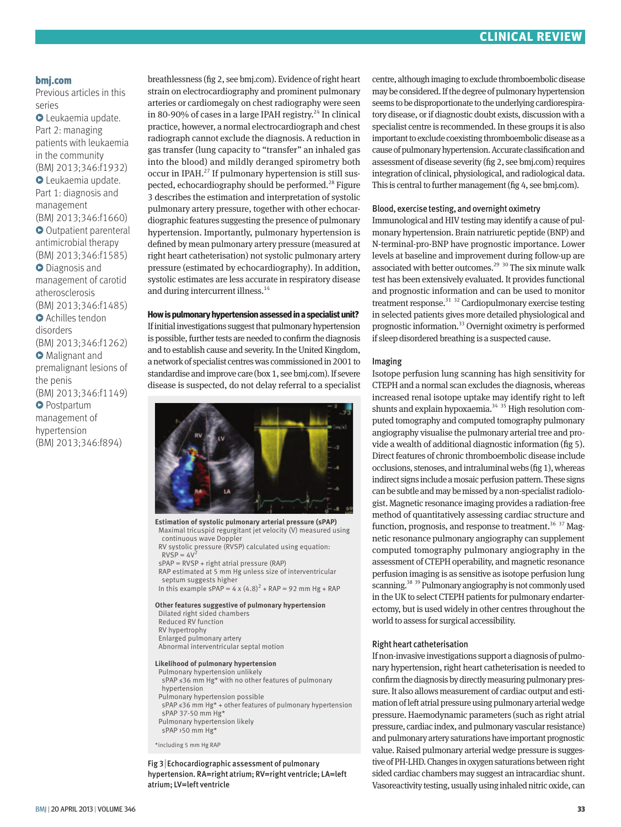### **CLINICAL REVIEW**

### **bmj.com**

Previous articles in this series

• Leukaemia update. Part 2: managing patients with leukaemia in the community (BMJ 2013;346:f1932) • Leukaemia update. Part 1: diagnosis and management (BMJ 2013;346:f1660) **• Outpatient parenteral** antimicrobial therapy (BMJ 2013;346:f1585) • Diagnosis and management of carotid atherosclerosis (BMJ 2013;346:f1485) **•** Achilles tendon disorders (BMJ 2013;346:f1262) **• Malignant and** premalignant lesions of the penis (BMJ 2013;346:f1149) **•** Postpartum management of hypertension (BMJ 2013;346:f894)

breathlessness (fig 2, see bmj.com). Evidence of right heart strain on electrocardiography and prominent pulmonary arteries or cardiomegaly on chest radiography were seen in 80-90% of cases in a large IPAH registry.<sup>24</sup> In clinical practice, however, a normal electrocardiograph and chest radiograph cannot exclude the diagnosis. A reduction in gas transfer (lung capacity to "transfer" an inhaled gas into the blood) and mildly deranged spirometry both occur in IPAH.27 If pulmonary hypertension is still suspected, echocardiography should be performed.<sup>28</sup> Figure 3 describes the estimation and interpretation of systolic pulmonary artery pressure, together with other echocardiographic features suggesting the presence of pulmonary hypertension. Importantly, pulmonary hypertension is defined by mean pulmonary artery pressure (measured at right heart catheterisation) not systolic pulmonary artery pressure (estimated by echocardiography). In addition, systolic estimates are less accurate in respiratory disease and during intercurrent illness.<sup>14</sup>

### **How is pulmonary hypertension assessed in a specialist unit?**

If initial investigations suggest that pulmonary hypertension is possible, further tests are needed to confirm the diagnosis and to establish cause and severity. In the United Kingdom, a network of specialist centres was commissioned in 2001 to standardise and improve care (box 1, see bmj.com). If severe disease is suspected, do not delay referral to a specialist



**Estimation of systolic pulmonary arterial pressure (sPAP)** Maximal tricuspid regurgitant jet velocity (V) measured using continuous wave Doppler RV systolic pressure (RVSP) calculated using equation:  $RVSP = 4V$  sPAP = RVSP + right atrial pressure (RAP) RAP estimated at 5 mm Hg unless size of interventricular septum suggests higher In this example sPAP =  $4 \times (4.8)^2 + RAP = 92$  mm Hg + RAP **Other features suggestive of pulmonary hypertension** Dilated right sided chambers Reduced RV function RV hypertrophy Enlarged pulmonary artery Abnormal interventricular septal motion **Likelihood of pulmonary hypertension** Pulmonary hypertension unlikely sPAP ≤36 mm Hg\* with no other features of pulmonary hypertension Pulmonary hypertension possible sPAP ≤36 mm Hg\* + other features of pulmonary hypertension sPAP 37-50 mm Hg\*

 Pulmonary hypertension likely sPAP >50 mm Hg\*

\*including 5 mm Hg RAP

Fig 3|Echocardiographic assessment of pulmonary hypertension. RA=right atrium; RV=right ventricle; LA=left atrium; LV=left ventricle

centre, although imaging to exclude thromboembolic disease may be considered. If the degree of pulmonary hypertension seems to be disproportionate to the underlying cardiorespiratory disease, or if diagnostic doubt exists, discussion with a specialist centre is recommended. In these groups it is also important to exclude coexisting thromboembolic disease as a cause of pulmonary hypertension. Accurate classification and assessment of disease severity (fig 2, see bmj.com) requires integration of clinical, physiological, and radiological data. This is central to further management (fig 4, see bmj.com).

### Blood, exercise testing, and overnight oximetry

Immunological and HIV testing may identify a cause of pulmonary hypertension. Brain natriuretic peptide (BNP) and N-terminal-pro-BNP have prognostic importance. Lower levels at baseline and improvement during follow-up are associated with better outcomes.<sup>29</sup> <sup>30</sup> The six minute walk test has been extensively evaluated. It provides functional and prognostic information and can be used to monitor treatment response. $31, 32$  Cardiopulmonary exercise testing in selected patients gives more detailed physiological and prognostic information.33 Overnight oximetry is performed if sleep disordered breathing is a suspected cause.

### Imaging

Isotope perfusion lung scanning has high sensitivity for CTEPH and a normal scan excludes the diagnosis, whereas increased renal isotope uptake may identify right to left shunts and explain hypoxaemia.<sup>34</sup> <sup>35</sup> High resolution computed tomography and computed tomography pulmonary angiography visualise the pulmonary arterial tree and provide a wealth of additional diagnostic information (fig 5). Direct features of chronic thromboembolic disease include occlusions, stenoses, and intraluminal webs (fig 1), whereas indirect signs include a mosaic perfusion pattern. These signs can be subtle and may be missed by a non-specialist radiologist. Magnetic resonance imaging provides a radiation-free method of quantitatively assessing cardiac structure and function, prognosis, and response to treatment.<sup>36 37</sup> Magnetic resonance pulmonary angiography can supplement computed tomography pulmonary angiography in the assessment of CTEPH operability, and magnetic resonance perfusion imaging is as sensitive as isotope perfusion lung scanning.<sup>38</sup> <sup>39</sup> Pulmonary angiography is not commonly used in the UK to select CTEPH patients for pulmonary endarterectomy, but is used widely in other centres throughout the world to assess for surgical accessibility.

### Right heart catheterisation

If non-invasive investigations support a diagnosis of pulmonary hypertension, right heart catheterisation is needed to confirm the diagnosis by directly measuring pulmonary pressure. It also allows measurement of cardiac output and estimation of left atrial pressure using pulmonary arterial wedge pressure. Haemodynamic parameters (such as right atrial pressure, cardiac index, and pulmonary vascular resistance) and pulmonary artery saturations have important prognostic value. Raised pulmonary arterial wedge pressure is suggestive of PH-LHD. Changes in oxygen saturations between right sided cardiac chambers may suggest an intracardiac shunt. Vasoreactivity testing, usually using inhaled nitric oxide, can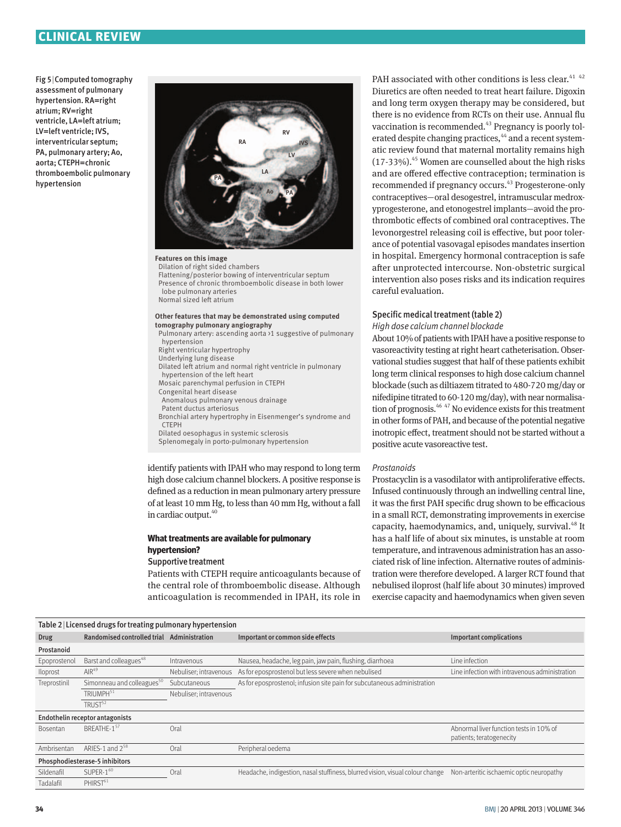## **CLINICAL REVIEW**

Fig 5|Computed tomography assessment of pulmonary hypertension. RA=right atrium; RV=right ventricle, LA=left atrium; LV=left ventricle; IVS, interventricular septum; PA, pulmonary artery; Ao, aorta; CTEPH=chronic thromboembolic pulmonary hypertension



### **Features on this image**

 Dilation of right sided chambers Flattening/posterior bowing of interventricular septum Presence of chronic thromboembolic disease in both lower lobe pulmonary arteries Normal sized left atrium

#### **Other features that may be demonstrated using computed tomography pulmonary angiography**

- Pulmonary artery: ascending aorta >1 suggestive of pulmonary hypertension Right ventricular hypertrophy Underlying lung disease Dilated left atrium and normal right ventricle in pulmonary
- hypertension of the left heart Mosaic parenchymal perfusion in CTEPH
- Congenital heart disease
- Anomalous pulmonary venous drainage
- Patent ductus arteriosus
- Bronchial artery hypertrophy in Eisenmenger's syndrome and CTEPH
- Dilated oesophagus in systemic sclerosis
- Splenomegaly in porto-pulmonary hypertension

identify patients with IPAH who may respond to long term high dose calcium channel blockers. A positive response is defined as a reduction in mean pulmonary artery pressure of at least 10 mm Hg, to less than 40 mm Hg, without a fall in cardiac output.<sup>40</sup>

### **What treatments are available for pulmonary hypertension?** Supportive treatment

Patients with CTEPH require anticoagulants because of the central role of thromboembolic disease. Although anticoagulation is recommended in IPAH, its role in

Table 2|Licensed drugs for treating pulmonary hypertension

PAH associated with other conditions is less clear.<sup>41 42</sup> Diuretics are often needed to treat heart failure. Digoxin and long term oxygen therapy may be considered, but there is no evidence from RCTs on their use. Annual flu vaccination is recommended.<sup>43</sup> Pregnancy is poorly tolerated despite changing practices,<sup>44</sup> and a recent systematic review found that maternal mortality remains high  $(17-33%)$ .<sup>45</sup> Women are counselled about the high risks and are offered effective contraception; termination is recommended if pregnancy occurs.43 Progesterone-only contraceptives—oral desogestrel, intramuscular medroxyprogesterone, and etonogestrel implants—avoid the prothrombotic effects of combined oral contraceptives. The levonorgestrel releasing coil is effective, but poor tolerance of potential vasovagal episodes mandates insertion in hospital. Emergency hormonal contraception is safe after unprotected intercourse. Non-obstetric surgical intervention also poses risks and its indication requires careful evaluation.

### Specific medical treatment (table 2)

### *High dose calcium channel blockade*

About 10% of patients with IPAH have a positive response to vasoreactivity testing at right heart catheterisation. Observational studies suggest that half of these patients exhibit long term clinical responses to high dose calcium channel blockade (such as diltiazem titrated to 480-720 mg/day or nifedipine titrated to 60-120 mg/day), with near normalisation of prognosis.<sup>46 47</sup> No evidence exists for this treatment in other forms of PAH, and because of the potential negative inotropic effect, treatment should not be started without a positive acute vasoreactive test.

### *Prostanoids*

Prostacyclin is a vasodilator with antiproliferative effects. Infused continuously through an indwelling central line, it was the first PAH specific drug shown to be efficacious in a small RCT, demonstrating improvements in exercise capacity, haemodynamics, and, uniquely, survival. $48$  It has a half life of about six minutes, is unstable at room temperature, and intravenous administration has an associated risk of line infection. Alternative routes of administration were therefore developed. A larger RCT found that nebulised iloprost (half life about 30 minutes) improved exercise capacity and haemodynamics when given seven

| Table 2   Licensed drugs for treating putmonary hypertension |                                        |                        |                                                                               |                                                                     |  |
|--------------------------------------------------------------|----------------------------------------|------------------------|-------------------------------------------------------------------------------|---------------------------------------------------------------------|--|
| <b>Drug</b>                                                  | Randomised controlled trial            | Administration         | Important or common side effects                                              | Important complications                                             |  |
| Prostanoid                                                   |                                        |                        |                                                                               |                                                                     |  |
| Epoprostenol                                                 | Barst and colleagues <sup>48</sup>     | Intravenous            | Nausea, headache, leg pain, jaw pain, flushing, diarrhoea                     | Line infection                                                      |  |
| lloprost                                                     | $AlR^{49}$                             | Nebuliser; intravenous | As for eposprostenol but less severe when nebulised                           | Line infection with intravenous administration                      |  |
| Treprostinil                                                 | Simonneau and colleagues <sup>50</sup> | Subcutaneous           | As for eposprostenol; infusion site pain for subcutaneous administration      |                                                                     |  |
|                                                              | TRIUMPH <sup>51</sup>                  | Nebuliser: intravenous |                                                                               |                                                                     |  |
|                                                              | TRIIST <sup>52</sup>                   |                        |                                                                               |                                                                     |  |
| Endothelin receptor antagonists                              |                                        |                        |                                                                               |                                                                     |  |
| <b>Bosentan</b>                                              | BRFATHF-1 <sup>57</sup>                | Oral                   |                                                                               | Abnormal liver function tests in 10% of<br>patients; teratogenecity |  |
| Ambrisentan                                                  | ARIES-1 and $2^{58}$                   | Oral                   | Peripheral oedema                                                             |                                                                     |  |
| Phosphodiesterase-5 inhibitors                               |                                        |                        |                                                                               |                                                                     |  |
| Sildenafil                                                   | SUPER-160                              | Oral                   | Headache, indigestion, nasal stuffiness, blurred vision, visual colour change | Non-arteritic ischaemic optic neuropathy                            |  |
| Tadalafil                                                    | PHIRST <sup>61</sup>                   |                        |                                                                               |                                                                     |  |
|                                                              |                                        |                        |                                                                               |                                                                     |  |